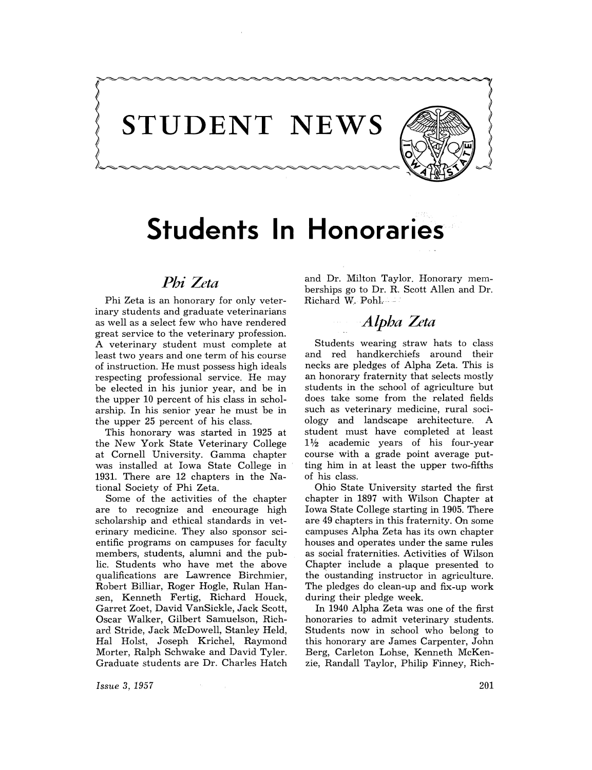

# **Students In Honoraries**

**STUDENT NEWS** 

## *Phi Zeta*

Phi Zeta is an honorary for only veterinary students and graduate veterinarians as well as a select few wha have rendered great service to the veterinary profession. A veterinary student must complete at least two years and one term of his course of instructian. He must possess high ideals respecting professional service. He may be elected in his junior year, and be in the upper 10 percent of his class in scholarship. In his senior year he must be in the upper 25 percent of his class.

This honorary was started in 1925 at the New Yark State Veterinary College at Cornell University. Gamma chapter was installed at Iowa State College in 1931. There are 12 chapters in the National Society of Phi Zeta.

Some of the activities of the chapter are to recognize and encourage high scholarship and ethical standards in veterinary medicine. They alsa sponsor scientific programs on campuses for faculty members, students, alumni and the public. Students wha have met the abave qualifications are Lawrence Birchmier, Robert Billiar, Roger Hogle, Rulan Hansen, Kenneth Fertig, Richard Houck, Garret Zoet, David VanSickle, Jack Scott, Oscar Walker, Gilbert Samuelson, Richard Stride, Jack McDowell, Stanley Held, Hal Holst, Joseph Krichel, Raymond Morter, Ralph Schwake and David Tyler. Graduate students are Dr. Charles Hatch

 $\sim$   $\kappa_{\rm c}$ 

and Dr. Milton Taylor. Honorary memberships go to Dr. R. Scatt Allen and Dr. Richard W. Pohl.

### *Alpha Zeta*

Students wearing straw hats *ta* class and red handkerchiefs araund their necks are pledges of Alpha Zeta. This is an honorary fraternity that selects mastly students in the schoal af agriculture but does take some from the related fields such as veterinary medicine, rural soci*alagy* and landscape architecture. A student must have completed at least  $1\frac{1}{2}$  academic years of his four-year course with a grade point average putting him in at least the upper twa-fifths of his class.

Ohio State University started the first chapter in 1897 with Wilson Chapter at Iowa State Callege starting in 1905. There are 49 chapters in this fraternity. On some campuses Alpha Zeta has its own chapter houses and operates under the same rules as social fraternities. Activities of Wilson Chapter include a plaque presented ta the austanding instructor in agriculture. The pledges do clean-up and fix-up work during their pledge week.

In 1940 Alpha Zeta was one of the first honoraries to admit veterinary students. Students now in school who belong to this hanorary are James Carpenter, John Berg, Carleton Lohse, Kenneth McKenzie, Randall Taylar, Philip Finney, Rich-

*Issue* 3, 1957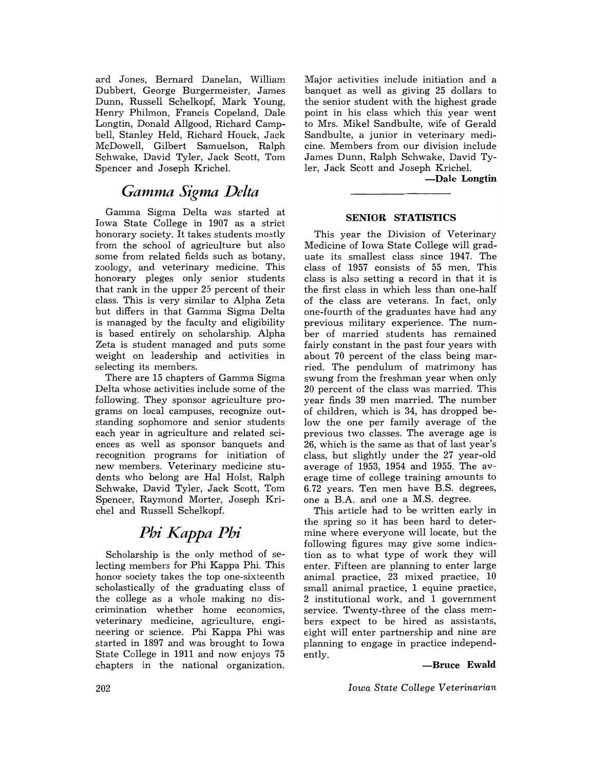ard Jones, Bernard Danelan, William Dubbert, George Burgermeister, James Dunn, Russell Schelkopf, Mark Young, Henry Philmon, Francis Copeland, Dale Longtin, Donald Allgood, Richard Campbell, Stanley Held, Richard Houck, Jack McDowell, Gilbert Samuelson, Ralph Schwake, David Tyler, Jack Scott, Tom Spencer and Joseph Krichel.

### Gamma Sigma Delta

Gamma Sigma Delta was started at Iowa State College in 1907 as a strict honorary society. It takes students mostly from the school of agriculture but also some from related fields such as botany, zoology, and veterinary medicine. This honorary pleges only senior students that rank in the upper 25 percent of their class. This is very similar to Alpha Zeta but differs in that Gamma Sigma Delta is managed by the faculty and eligibility is based entirely on scholarship. Alpha Zeta is student managed and puts some weight on leadership and activities in selecting its members.

There are 15 chapters of Gamma Sigma Delta whose activities include some of the following. They sponsor agriculture programs on local campuses, recognize outstanding sophomore and senior students each year in agriculture and related sciences 'as well as sponsor banquets and recognition programs for initiation of new members. Veterinary medicine students who belong are Hal Holst, Ralph Schwake, David Tyler, Jack Scott, Tom Spencer, Raymond Morter, Joseph Krichel and Russell Schelkopf.

# *Phi Kappa Phi*

Scholarship is the only method of selecting members for Phi Kappa Phi. This honor society takes the top one-sixteenth scholastically of the graduating class of the college as a whole making no discrimination whether home economics, veterinary medicine, agriculture, engineering or science. Phi Kappa Phi was started in 1897 and was brought to Iowa State College in 1911 and now enjoys 75 chapters in the national organization.

Major activities include initiation and a banquet as well as giving 25 dollars to the senior student with the highest grade point in his class which this year went to Mrs. Mikel Sandbulte, wife of Gerald Sandbulte, a junior in veterinary medicine. Members from our division include James Dunn, Ralph Schwake, David Tyler, Jack Scott and Joseph Krichel.

**-Dale Longtin** 

#### **SENIOR STATISTICS**

This year the Division of Veterinary Medicine of Iowa State College will graduate its smallest class since 1947. The class of 1957 consists of 55 men. This class is also setting 'a record in that it is the first class in which less than one-half of the class are veterans. In fact, only one-fourth of the graduates have had any previous military experience. The number of married students has remained fairly constant in the past four years with about 70 percent of the class being married. The pendulum of matrimony has swung from the freshman year when only 20 percent of the class was married. This year finds 39 men married. The number of children, which is 34, has dropped below the one per family average of the previous two classes. The average age is 26, which is the same as that of last year's class, but slightly under the 27 year-old average of 1953, 1954 and 1955. The average time of college training amounts to 6.72 years. Ten men have B.S. degrees, one a B.A. and one a M.S. degree.

This article had to be written early in the spring so it has been hard to determine where everyone will locate, but the following figures may give some indication as to what type of work they will enter. Fifteen are planning to enter large animal practice, 23 mixed practice, 10 small animal practice, 1 equine practice, 2 institutional work, and 1 government service. Twenty-three of the class members expect to be hired as assistants, eight will enter partnership and nine are planning to engage in practice independently.

#### **-Bruce Ewald**

*Iowa State College Veterinarian*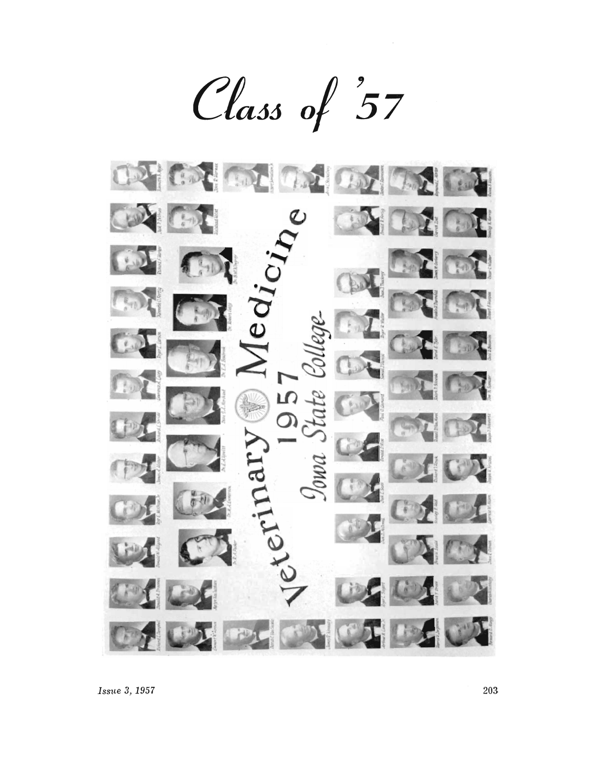Class of 57

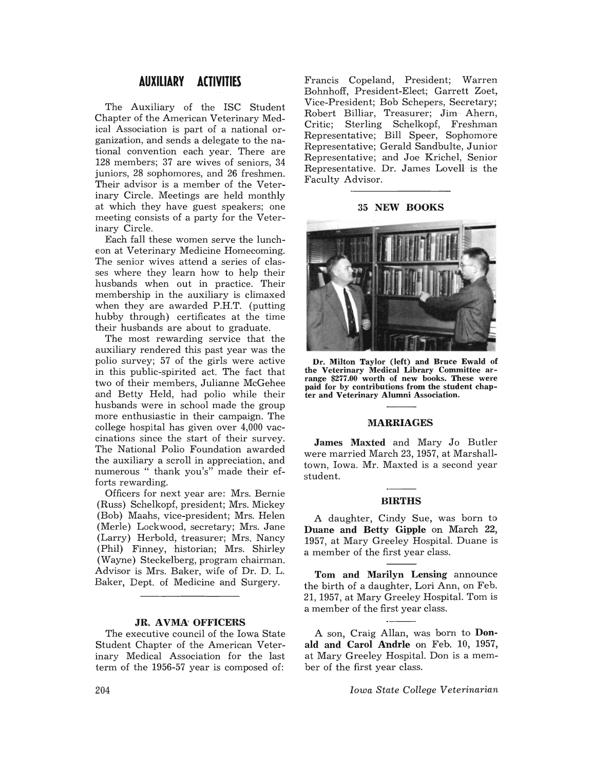#### **AUXILIARY ACTIVITIES**

The Auxiliary of the ISC Student Chapter of the American Veterinary Medical Association is part of a national organization, and sends a delegate to the national convention each year. There are 128 members; 37 are wives of seniors, 34 juniors, 28 sophomores, and 26 freshmen. Their advisor is a member of the Veterinary Circle. Meetings are held monthly 'at which they have guest speakers; one meeting consists of a party for the Veterinary Circle.

Each fall these women serve the luncheon at Veterinary Medicine Homecoming. The senior wives attend a series of classes where they learn how to help their husbands when out in practice. Their membership in the auxiliary is climaxed when they are awarded P.H.T. (putting hubby through) certificates at the time their husbands are about to graduate.

The most rewarding service that the auxiliary rendered this past year was the polio survey; 57 of the girls were active in this public-spirited act. The fact that two of their members, Julianne McGehee and Betty Held, had polio while their husbands were in school made the group more enthusiastic in their campaign. The college hospital has given over 4,000 vaccinations since the start of their survey. The National Polio Foundation awarded the auxiliary a scroll in appreciation, and numerous " thank you's" made their efforts rewarding.

Officers for next year are: Mrs. Bernie (Russ) Schelkopf, president; Mrs. Mickey (Bob) Maahs, vice-president; Mrs. Helen (Merle) Lockwood, secretary; Mrs. Jane (Larry) Herbold, treasurer; Mrs. Nancy (Phil) Finney, historian; Mrs. Shirley (Wayne) Steckelberg, program chairman. Advisor is Mrs. Baker, wife of Dr. D. L. Baker, Dept. of Medicine and Surgery.

#### JR. AVMA' OFFICERS

The executive council of the Iowa State Student Chapter of the American Veterinary Medical Association for the last term of the  $1956-57$  year is composed of:

Francis Copeland, President; Warren Bohnhoff, President-Elect; Garrett Zoet, Vice-President; Bob Schepers, Secretary; Robert Billiar, Treasurer; Jim Ahern, Critic; Sterling Schelkopf, Freshman Representative; Bill Speer, Sophomore Representative; Gerald Sandbulte, Junior Representative; and Joe Krichel, Senior Representative. Dr. James Lovell is the Faculty Advisor.

#### 35 NEW BOOKS



Dr. Milton Taylor (left) and Bruce Ewald of range \$277.00 worth of new books. These were paid for by contributions from the student chapter and Veterinary Alumni Association.

#### MARRIAGES

James Maxted and Mary Jo Butler were married March 23,1957, at Marshalltown, Iowa. Mr. Maxted is a second year student.

#### BIRTHS

A daughter, Cindy Sue, was born to Duane and Betty Gipple on March 22, 1957, at Mary Greeley Hospital. Duane is a member of the first year class.

Tom and Marilyn Lensing announce the birth of a daughter, Lori Ann, on Feb. 21,1957, at Mary Greeley Hospital. Tom is a member of the first year class.

A son, Craig Allan, was born to Donald and Carol Andrle on Feb. 10, 1957, at Mary Greeley Hospital. Don is a member of the first year class.

*Iowa State College Veterinarian*